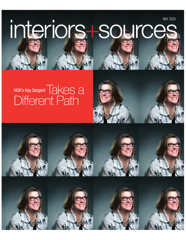**MAY 2020** 

# interions-source

# HOK's Kay Sargent TAKES A Different Path



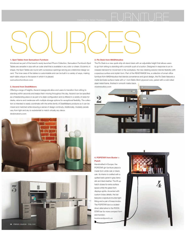### 1. Spot Tables from Samuelson Furniture

Introduced as part of the brand's newly launched Phorm Collection, Samuelson Furniture's Spot Tables are versatile in size with an outer shell that is available in any color or sheen. Eccentric in shape, the Spot Tables are round with curvaceous openings serving as a distinctive design accent. The inner area of the tables is customizable and can be built in a variety of ways, making each table unique to the space in which it is placed. samuelsonfurniture.com

### 3. Ascend from DeskMakers

Offering a range of heights, Ascend casegoods allow end users to transition from sitting to standing within seconds and keeps them moving throughout the day. Ascend can be specified as a freestanding piece or as part of a desk configuration and is offered in a variety of sizes for desks, returns and credenzas with multiple storage options for exceptional flexibility. The collection is intended to easily coordinate with the entire family of DeskMakers products so it can be mixed and matched while ensuring a sense of design continuity. Additionally, modesty panels vary from light and airy to substantial to match virtually any decor. deskmakers.com





### 2. Flo Desk from MASHstudios

The Flo Desk is a new quick-ship sit-stand desk with an adjustable height that allows users to go from sitting to standing with a smooth push of a button. Designed in response to an increased demand for movement in the workplace, the new desking solution blends flexibility with a spacious surface and stylish form. Part of the READYMADE line, a collection of smart office furniture from MASHstudios that blends convenience and good design, the Flo Desk features a matte laminate surface made with a 1-inch Baltic Birch plywood core, paired with a cold rolled steel metal frame, finished in smooth matte black.

mashstudios.com



### 4. POPSTAR from Buster + Punch

Handcrafted in Europe, the POPSTAR gin furniture piece is made from white oak or black oak. Its interior is crafted with a quilted back panel in gray berry silk and black leather. The lift-up hatch closes for extra surface space while the glass front displays spirits. Accented with custom brass details, the bar features a signature knurled light fitting and a pair of brass knobs. The POPSTAR har is a scaleddown alternative to the ROCK-STAR bar for more compact form and function. busterandpunch.us